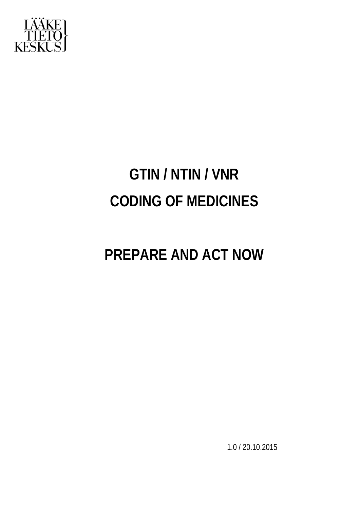

# **GTIN / NTIN / VNR CODING OF MEDICINES**

## **PREPARE AND ACT NOW**

1.0 / 20.10.2015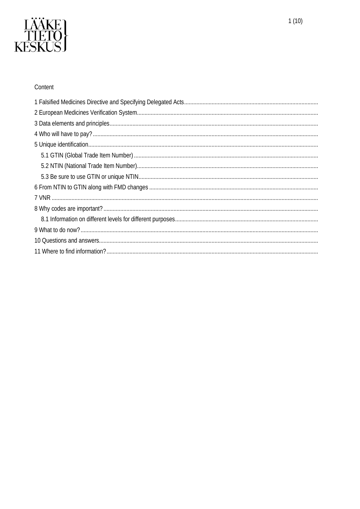

### Content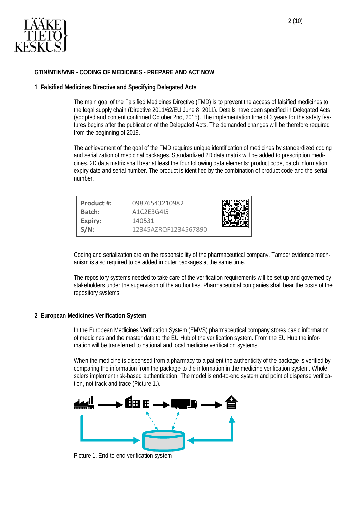

#### <span id="page-2-0"></span>**GTIN/NTIN/VNR - CODING OF MEDICINES - PREPARE AND ACT NOW**

#### **1 Falsified Medicines Directive and Specifying Delegated Acts**

The main goal of the Falsified Medicines Directive (FMD) is to prevent the access of falsified medicines to the legal supply chain (Directive 2011/62/EU June 8, 2011). Details have been specified in Delegated Acts (adopted and content confirmed October 2nd, 2015). The implementation time of 3 years for the safety features begins after the publication of the Delegated Acts. The demanded changes will be therefore required from the beginning of 2019.

The achievement of the goal of the FMD requires unique identification of medicines by standardized coding and serialization of medicinal packages. Standardized 2D data matrix will be added to prescription medicines. 2D data matrix shall bear at least the four following data elements: product code, batch information, expiry date and serial number. The product is identified by the combination of product code and the serial number.

| Product #:<br>Batch: | 09876543210982<br>A1C2F3G415   |  |
|----------------------|--------------------------------|--|
| Expiry:<br>$S/N$ :   | 140531<br>12345AZRQF1234567890 |  |

Coding and serialization are on the responsibility of the pharmaceutical company. Tamper evidence mechanism is also required to be added in outer packages at the same time.

The repository systems needed to take care of the verification requirements will be set up and governed by stakeholders under the supervision of the authorities. Pharmaceutical companies shall bear the costs of the repository systems.

#### <span id="page-2-1"></span>**2 European Medicines Verification System**

In the European Medicines Verification System (EMVS) pharmaceutical company stores basic information of medicines and the master data to the EU Hub of the verification system. From the EU Hub the information will be transferred to national and local medicine verification systems.

When the medicine is dispensed from a pharmacy to a patient the authenticity of the package is verified by comparing the information from the package to the information in the medicine verification system. Wholesalers implement risk-based authentication. The model is end-to-end system and point of dispense verification, not track and trace (Picture 1.).



Picture 1. End-to-end verification system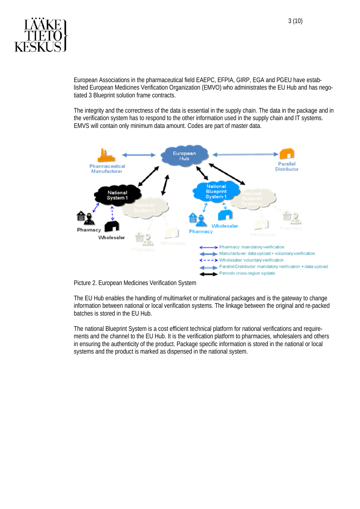

European Associations in the pharmaceutical field EAEPC, EFPIA, GIRP, EGA and PGEU have established European Medicines Verification Organization (EMVO) who administrates the EU Hub and has negotiated 3 Blueprint solution frame contracts.

The integrity and the correctness of the data is essential in the supply chain. The data in the package and in the verification system has to respond to the other information used in the supply chain and IT systems. EMVS will contain only minimum data amount. Codes are part of master data.





The EU Hub enables the handling of multimarket or multinational packages and is the gateway to change information between national or local verification systems. The linkage between the original and re-packed batches is stored in the EU Hub.

The national Blueprint System is a cost efficient technical platform for national verifications and requirements and the channel to the EU Hub. It is the verification platform to pharmacies, wholesalers and others in ensuring the authenticity of the product. Package specific information is stored in the national or local systems and the product is marked as dispensed in the national system.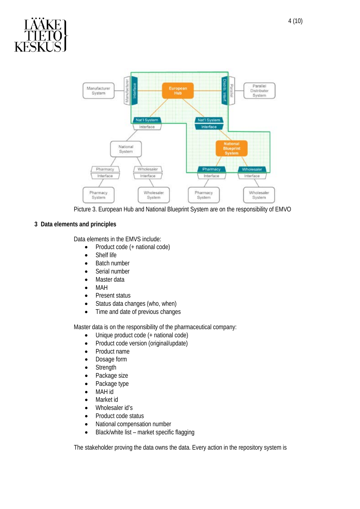

Picture 3. European Hub and National Blueprint System are on the responsibility of EMVO

### <span id="page-4-0"></span>**3 Data elements and principles**

Data elements in the EMVS include:

- Product code (+ national code)
- Shelf life
- Batch number
- Serial number
- Master data
- MAH
- Present status
- Status data changes (who, when)
- Time and date of previous changes

Master data is on the responsibility of the pharmaceutical company:

- Unique product code (+ national code)
- Product code version (original/update)
- Product name
- Dosage form
- Strength
- Package size
- Package type
- MAH id
- Market id
- Wholesaler id's
- Product code status
- National compensation number
- Black/white list market specific flagging

The stakeholder proving the data owns the data. Every action in the repository system is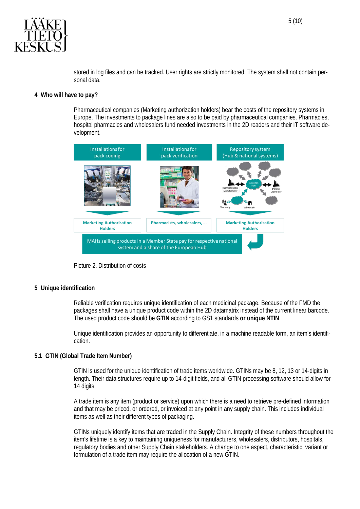

stored in log files and can be tracked. User rights are strictly monitored. The system shall not contain personal data.

#### <span id="page-5-0"></span>**4 Who will have to pay?**

Pharmaceutical companies (Marketing authorization holders) bear the costs of the repository systems in Europe. The investments to package lines are also to be paid by pharmaceutical companies. Pharmacies, hospital pharmacies and wholesalers fund needed investments in the 2D readers and their IT software development.



Picture 2. Distribution of costs

#### <span id="page-5-1"></span>**5 Unique identification**

Reliable verification requires unique identification of each medicinal package. Because of the FMD the packages shall have a unique product code within the 2D datamatrix instead of the current linear barcode. The used product code should be **GTIN** according to GS1 standards **or unique NTIN**.

Unique identification provides an opportunity to differentiate, in a machine readable form, an item's identification.

#### <span id="page-5-2"></span>**5.1 GTIN (Global Trade Item Number)**

GTIN is used for the unique identification of trade items worldwide. GTINs may be 8, 12, 13 or 14-digits in length. Their data structures require up to 14-digit fields, and all GTIN processing software should allow for 14 digits.

A trade item is any item (product or service) upon which there is a need to retrieve pre-defined information and that may be priced, or ordered, or invoiced at any point in any supply chain. This includes individual items as well as their different types of packaging.

GTINs uniquely identify items that are traded in the Supply Chain. Integrity of these numbers throughout the item's lifetime is a key to maintaining uniqueness for manufacturers, wholesalers, distributors, hospitals, regulatory bodies and other Supply Chain stakeholders. A change to one aspect, characteristic, variant or formulation of a trade item may require the allocation of a new GTIN.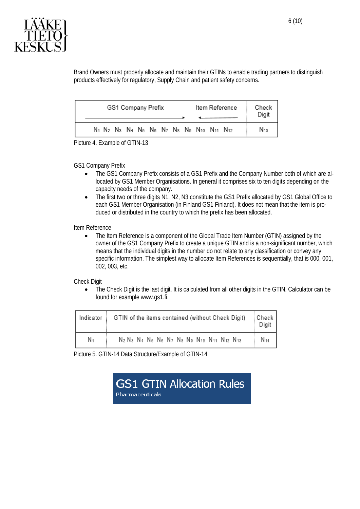

Brand Owners must properly allocate and maintain their GTINs to enable trading partners to distinguish products effectively for regulatory, Supply Chain and patient safety concerns.

| GS1 Company Prefix |  |  |  |  |  |  | Item Reference |                                                                                                                                                                                        |  | Check<br>Digit |          |
|--------------------|--|--|--|--|--|--|----------------|----------------------------------------------------------------------------------------------------------------------------------------------------------------------------------------|--|----------------|----------|
|                    |  |  |  |  |  |  |                | N <sub>1</sub> N <sub>2</sub> N <sub>3</sub> N <sub>4</sub> N <sub>5</sub> N <sub>6</sub> N <sub>7</sub> N <sub>8</sub> N <sub>9</sub> N <sub>10</sub> N <sub>11</sub> N <sub>12</sub> |  |                | $N_{13}$ |

Picture 4. Example of GTIN-13

GS1 Company Prefix

- The GS1 Company Prefix consists of a GS1 Prefix and the Company Number both of which are allocated by GS1 Member Organisations. In general it comprises six to ten digits depending on the capacity needs of the company.
- The first two or three digits N1, N2, N3 constitute the GS1 Prefix allocated by GS1 Global Office to each GS1 Member Organisation (in Finland GS1 Finland). It does not mean that the item is produced or distributed in the country to which the prefix has been allocated.

Item Reference

• The Item Reference is a component of the Global Trade Item Number (GTIN) assigned by the owner of the GS1 Company Prefix to create a unique GTIN and is a non-significant number, which means that the individual digits in the number do not relate to any classification or convey any specific information. The simplest way to allocate Item References is sequentially, that is 000, 001, 002, 003, etc.

Check Digit

• The Check Digit is the last digit. It is calculated from all other digits in the GTIN. Calculator can be found for example www.gs1.fi.

| Indicator      | GTIN of the items contained (without Check Digit)<br>Check                                                                                                                              |      |  |  |  |  |
|----------------|-----------------------------------------------------------------------------------------------------------------------------------------------------------------------------------------|------|--|--|--|--|
| N <sub>1</sub> | N <sub>2</sub> N <sub>3</sub> N <sub>4</sub> N <sub>5</sub> N <sub>6</sub> N <sub>7</sub> N <sub>8</sub> N <sub>9</sub> N <sub>10</sub> N <sub>11</sub> N <sub>12</sub> N <sub>13</sub> | N 14 |  |  |  |  |

Picture 5. GTIN-14 Data Structure/Example of GTIN-14

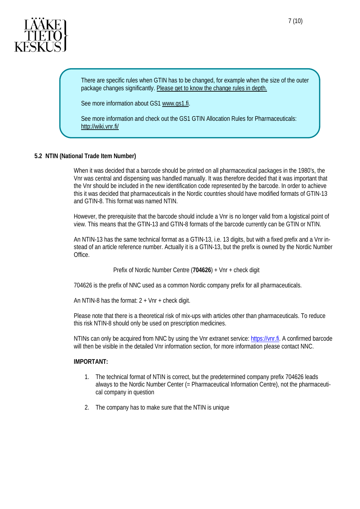

There are specific rules when GTIN has to be changed, for example when the size of the outer package changes significantly. Please get to know the change rules in depth.

See more information about GS[1 www.gs1.fi.](http://www.gs1.fi/)

See more information and check out the GS1 GTIN Allocation Rules for Pharmaceuticals: <http://wiki.vnr.fi/>

#### <span id="page-7-0"></span>**5.2 NTIN (National Trade Item Number)**

When it was decided that a barcode should be printed on all pharmaceutical packages in the 1980's, the Vnr was central and dispensing was handled manually. It was therefore decided that it was important that the Vnr should be included in the new identification code represented by the barcode. In order to achieve this it was decided that pharmaceuticals in the Nordic countries should have modified formats of GTIN-13 and GTIN-8. This format was named NTIN.

However, the prerequisite that the barcode should include a Vnr is no longer valid from a logistical point of view. This means that the GTIN-13 and GTIN-8 formats of the barcode currently can be GTIN or NTIN.

An NTIN-13 has the same technical format as a GTIN-13, i.e. 13 digits, but with a fixed prefix and a Vnr instead of an article reference number. Actually it is a GTIN-13, but the prefix is owned by the Nordic Number Office.

Prefix of Nordic Number Centre (**704626**) + Vnr + check digit

704626 is the prefix of NNC used as a common Nordic company prefix for all pharmaceuticals.

An NTIN-8 has the format:  $2 + Vnr + check$  digit.

Please note that there is a theoretical risk of mix-ups with articles other than pharmaceuticals. To reduce this risk NTIN-8 should only be used on prescription medicines.

NTINs can only be acquired from NNC by using the Vnr extranet service: [https://vnr.fi.](https://vnr.fi/) A confirmed barcode will then be visible in the detailed Vnr information section, for more information please contact NNC.

#### **IMPORTANT:**

- 1. The technical format of NTIN is correct, but the predetermined company prefix 704626 leads always to the Nordic Number Center (= Pharmaceutical Information Centre), not the pharmaceutical company in question
- 2. The company has to make sure that the NTIN is unique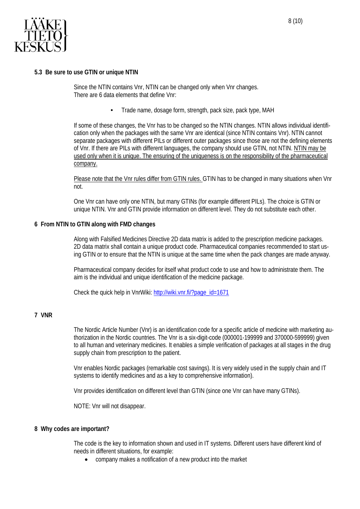

<span id="page-8-0"></span>Since the NTIN contains Vnr, NTIN can be changed only when Vnr changes. There are 6 data elements that define Vnr:

• Trade name, dosage form, strength, pack size, pack type, MAH

If some of these changes, the Vnr has to be changed so the NTIN changes. NTIN allows individual identification only when the packages with the same Vnr are identical (since NTIN contains Vnr). NTIN cannot separate packages with different PILs or different outer packages since those are not the defining elements of Vnr. If there are PILs with different languages, the company should use GTIN, not NTIN. NTIN may be used only when it is unique. The ensuring of the uniqueness is on the responsibility of the pharmaceutical company.

Please note that the Vnr rules differ from GTIN rules. GTIN has to be changed in many situations when Vnr not.

One Vnr can have only one NTIN, but many GTINs (for example different PILs). The choice is GTIN or unique NTIN. Vnr and GTIN provide information on different level. They do not substitute each other.

#### <span id="page-8-1"></span>**6 From NTIN to GTIN along with FMD changes**

Along with Falsified Medicines Directive 2D data matrix is added to the prescription medicine packages. 2D data matrix shall contain a unique product code. Pharmaceutical companies recommended to start using GTIN or to ensure that the NTIN is unique at the same time when the pack changes are made anyway.

Pharmaceutical company decides for itself what product code to use and how to administrate them. The aim is the individual and unique identification of the medicine package.

Check the quick help in VnrWiki: [http://wiki.vnr.fi/?page\\_id=1671](http://wiki.vnr.fi/?page_id=1671)

#### <span id="page-8-2"></span>**7 VNR**

The Nordic Article Number (Vnr) is an identification code for a specific article of medicine with marketing authorization in the Nordic countries. The Vnr is a six-digit-code (000001-199999 and 370000-599999) given to all human and veterinary medicines. It enables a simple verification of packages at all stages in the drug supply chain from prescription to the patient.

Vnr enables Nordic packages (remarkable cost savings). It is very widely used in the supply chain and IT systems to identify medicines and as a key to comprehensive information).

Vnr provides identification on different level than GTIN (since one Vnr can have many GTINs).

NOTE: Vnr will not disappear.

#### <span id="page-8-3"></span>**8 Why codes are important?**

The code is the key to information shown and used in IT systems. Different users have different kind of needs in different situations, for example:

• company makes a notification of a new product into the market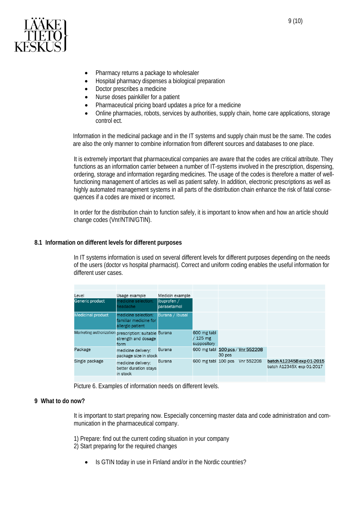

- Pharmacy returns a package to wholesaler
- Hospital pharmacy dispenses a biological preparation
- Doctor prescribes a medicine
- Nurse doses painkiller for a patient
- Pharmaceutical pricing board updates a price for a medicine
- Online pharmacies, robots, services by authorities, supply chain, home care applications, storage control ect.

Information in the medicinal package and in the IT systems and supply chain must be the same. The codes are also the only manner to combine information from different sources and databases to one place.

It is extremely important that pharmaceutical companies are aware that the codes are critical attribute. They functions as an information carrier between a number of IT-systems involved in the prescription, dispensing, ordering, storage and information regarding medicines. The usage of the codes is therefore a matter of wellfunctioning management of articles as well as patient safety. In addition, electronic prescriptions as well as highly automated management systems in all parts of the distribution chain enhance the risk of fatal consequences if a codes are mixed or incorrect.

In order for the distribution chain to function safely, it is important to know when and how an article should change codes (Vnr/NTIN/GTIN).

#### <span id="page-9-0"></span>**8.1 Information on different levels for different purposes**

In IT systems information is used on several different levels for different purposes depending on the needs of the users (doctor vs hospital pharmacist). Correct and uniform coding enables the useful information for different user cases.

| Level                    | Usage example                                                    | Medicin example                |                                        |        |            |                                                        |
|--------------------------|------------------------------------------------------------------|--------------------------------|----------------------------------------|--------|------------|--------------------------------------------------------|
| Generic product          | medicine selection:<br>headache                                  | libuprofen $/$<br>lparasetamol |                                        |        |            |                                                        |
| <b>Medicinal product</b> | medicine selection:<br>familiar medicine for<br>allergic patient | Burana / Ibusal                |                                        |        |            |                                                        |
| Marketing authorization  | prescription: suitable Burana<br>strength and dosage<br>form     |                                | 600 mg tabl<br>/ 125 mg<br>suppository |        |            |                                                        |
| Package                  | medicine delivery:<br>package size in stock                      | <b>Burana</b>                  | 600 mg tabl 100 pcs / Vnr 552208       | 30 pcs |            |                                                        |
| Single package           | medicine delivery:<br>better duration stays<br>in stock          | <b>Burana</b>                  | 600 mg tabl 100 pcs                    |        | Vnr 552208 | batch A12345B exp 01-2015<br>batch A12345X exp 01-2017 |
|                          |                                                                  |                                |                                        |        |            |                                                        |

Picture 6. Examples of information needs on different levels.

#### <span id="page-9-1"></span>**9 What to do now?**

It is important to start preparing now. Especially concerning master data and code administration and communication in the pharmaceutical company.

1) Prepare: find out the current coding situation in your company 2) Start preparing for the required changes

• Is GTIN today in use in Finland and/or in the Nordic countries?